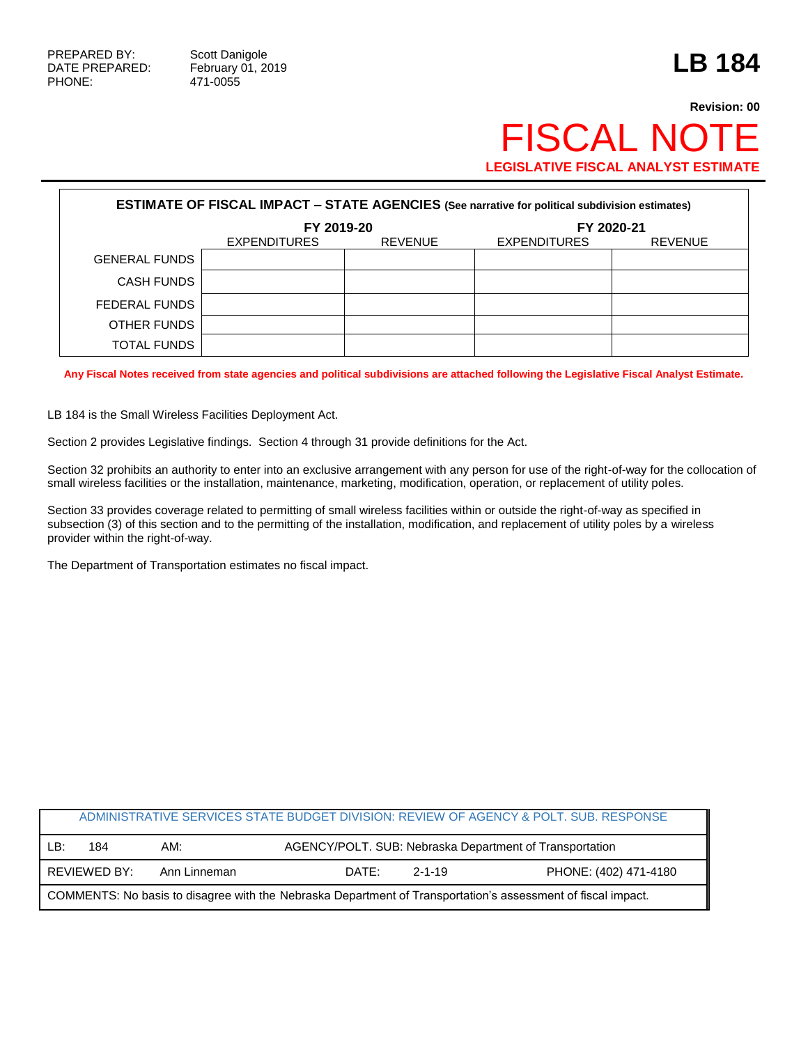## **Revision: 00 FISCAL NOT LEGISLATIVE FISCAL ANALYST ESTIMATE**

| <b>ESTIMATE OF FISCAL IMPACT - STATE AGENCIES (See narrative for political subdivision estimates)</b> |                     |                |                     |                |  |  |
|-------------------------------------------------------------------------------------------------------|---------------------|----------------|---------------------|----------------|--|--|
|                                                                                                       | FY 2019-20          |                | FY 2020-21          |                |  |  |
|                                                                                                       | <b>EXPENDITURES</b> | <b>REVENUE</b> | <b>EXPENDITURES</b> | <b>REVENUE</b> |  |  |
| <b>GENERAL FUNDS</b>                                                                                  |                     |                |                     |                |  |  |
| <b>CASH FUNDS</b>                                                                                     |                     |                |                     |                |  |  |
| FEDERAL FUNDS                                                                                         |                     |                |                     |                |  |  |
| OTHER FUNDS                                                                                           |                     |                |                     |                |  |  |
| <b>TOTAL FUNDS</b>                                                                                    |                     |                |                     |                |  |  |

**Any Fiscal Notes received from state agencies and political subdivisions are attached following the Legislative Fiscal Analyst Estimate.**

LB 184 is the Small Wireless Facilities Deployment Act.

Section 2 provides Legislative findings. Section 4 through 31 provide definitions for the Act.

Section 32 prohibits an authority to enter into an exclusive arrangement with any person for use of the right-of-way for the collocation of small wireless facilities or the installation, maintenance, marketing, modification, operation, or replacement of utility poles.

Section 33 provides coverage related to permitting of small wireless facilities within or outside the right-of-way as specified in subsection (3) of this section and to the permitting of the installation, modification, and replacement of utility poles by a wireless provider within the right-of-way.

The Department of Transportation estimates no fiscal impact.

|                                                                                                              |              |              |                                                         |  | ADMINISTRATIVE SERVICES STATE BUDGET DIVISION: REVIEW OF AGENCY & POLT. SUB. RESPONSE |  |
|--------------------------------------------------------------------------------------------------------------|--------------|--------------|---------------------------------------------------------|--|---------------------------------------------------------------------------------------|--|
| LB:                                                                                                          | 184          | AM:          | AGENCY/POLT. SUB: Nebraska Department of Transportation |  |                                                                                       |  |
|                                                                                                              | REVIEWED BY: | Ann Linneman | DATE:<br>$2 - 1 - 19$                                   |  | PHONE: (402) 471-4180                                                                 |  |
| COMMENTS: No basis to disagree with the Nebraska Department of Transportation's assessment of fiscal impact. |              |              |                                                         |  |                                                                                       |  |